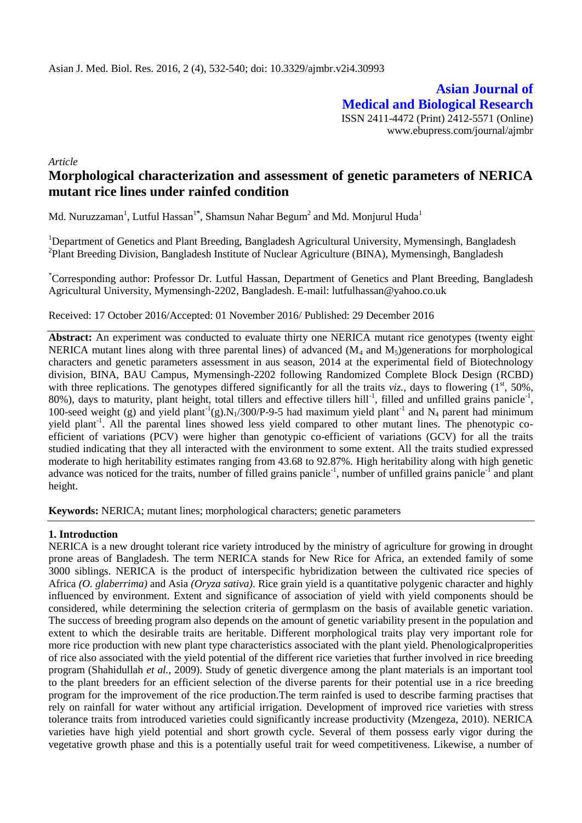**Asian Journal of Medical and Biological Research** ISSN 2411-4472 (Print) 2412-5571 (Online) www.ebupress.com/journal/ajmbr

*Article*

# **Morphological characterization and assessment of genetic parameters of NERICA mutant rice lines under rainfed condition**

Md. Nuruzzaman<sup>1</sup>, Lutful Hassan<sup>1\*</sup>, Shamsun Nahar Begum<sup>2</sup> and Md. Monjurul Huda<sup>1</sup>

<sup>1</sup>Department of Genetics and Plant Breeding, Bangladesh Agricultural University, Mymensingh, Bangladesh <sup>2</sup>Plant Breeding Division, Bangladesh Institute of Nuclear Agriculture (BINA), Mymensingh, Bangladesh

\*Corresponding author: Professor Dr. Lutful Hassan, Department of Genetics and Plant Breeding, Bangladesh Agricultural University, Mymensingh-2202, Bangladesh. E-mail: lutfulhassan@yahoo.co.uk

Received: 17 October 2016/Accepted: 01 November 2016/ Published: 29 December 2016

**Abstract:** An experiment was conducted to evaluate thirty one NERICA mutant rice genotypes (twenty eight NERICA mutant lines along with three parental lines) of advanced  $(M_4$  and  $M_5)$ generations for morphological characters and genetic parameters assessment in aus season, 2014 at the experimental field of Biotechnology division, BINA, BAU Campus, Mymensingh-2202 following Randomized Complete Block Design (RCBD) with three replications. The genotypes differed significantly for all the traits *viz.*, days to flowering  $(1^{st}, 50\%$ ,  $80\%$ ), days to maturity, plant height, total tillers and effective tillers hill<sup>-1</sup>, filled and unfilled grains panicle<sup>-1</sup>, 100-seed weight (g) and yield plant<sup>-1</sup>(g).N<sub>1</sub>/300/P-9-5 had maximum yield plant<sup>-1</sup> and N<sub>4</sub> parent had minimum yield plant<sup>-1</sup>. All the parental lines showed less yield compared to other mutant lines. The phenotypic coefficient of variations (PCV) were higher than genotypic co-efficient of variations (GCV) for all the traits studied indicating that they all interacted with the environment to some extent. All the traits studied expressed moderate to high heritability estimates ranging from 43.68 to 92.87%. High heritability along with high genetic advance was noticed for the traits, number of filled grains panicle<sup>-1</sup>, number of unfilled grains panicle<sup>-1</sup> and plant height.

**Keywords:** NERICA; mutant lines; morphological characters; genetic parameters

# **1. Introduction**

NERICA is a new drought tolerant rice variety introduced by the ministry of agriculture for growing in drought prone areas of Bangladesh. The term NERICA stands for New Rice for Africa, an extended family of some 3000 siblings. NERICA is the product of interspecific hybridization between the cultivated rice species of Africa *(O. glaberrima)* and Asia *(Oryza sativa)*. Rice grain yield is a quantitative polygenic character and highly influenced by environment. Extent and significance of association of yield with yield components should be considered, while determining the selection criteria of germplasm on the basis of available genetic variation. The success of breeding program also depends on the amount of genetic variability present in the population and extent to which the desirable traits are heritable. Different morphological traits play very important role for more rice production with new plant type characteristics associated with the plant yield. Phenologicalproperities of rice also associated with the yield potential of the different rice varieties that further involved in rice breeding program (Shahidullah *et al.*, 2009). Study of genetic divergence among the plant materials is an important tool to the plant breeders for an efficient selection of the diverse parents for their potential use in a rice breeding program for the improvement of the rice production.The term rainfed is used to describe farming practises that rely on rainfall for water without any artificial irrigation. Development of improved rice varieties with stress tolerance traits from introduced varieties could significantly increase productivity (Mzengeza, 2010). NERICA varieties have high yield potential and short growth cycle. Several of them possess early vigor during the vegetative growth phase and this is a potentially useful trait for weed competitiveness. Likewise, a number of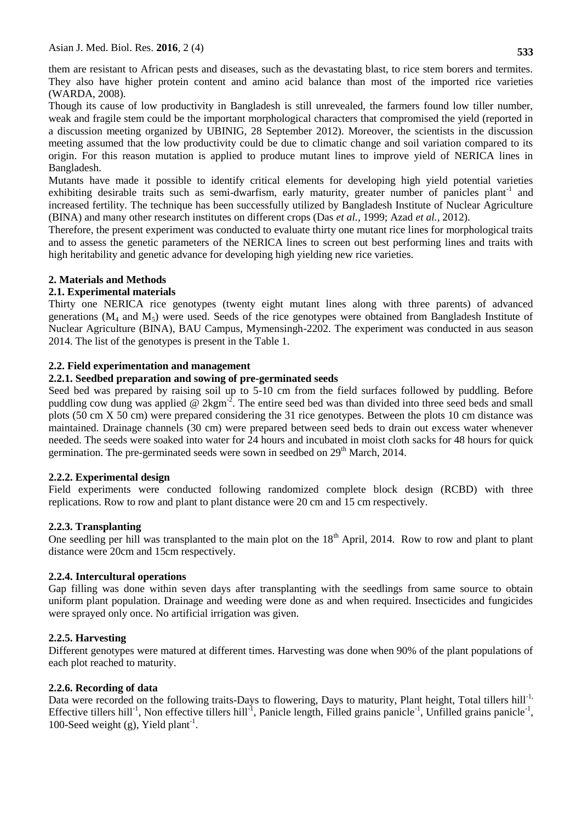them are resistant to African pests and diseases, such as the devastating blast, to rice stem borers and termites. They also have higher protein content and amino acid balance than most of the imported rice varieties (WARDA, 2008).

Though its cause of low productivity in Bangladesh is still unrevealed, the farmers found low tiller number, weak and fragile stem could be the important morphological characters that compromised the yield (reported in a discussion meeting organized by UBINIG, 28 September 2012). Moreover, the scientists in the discussion meeting assumed that the low productivity could be due to climatic change and soil variation compared to its origin. For this reason mutation is applied to produce mutant lines to improve yield of NERICA lines in Bangladesh.

Mutants have made it possible to identify critical elements for developing high yield potential varieties exhibiting desirable traits such as semi-dwarfism, early maturity, greater number of panicles plant<sup>-1</sup> and increased fertility. The technique has been successfully utilized by Bangladesh Institute of Nuclear Agriculture (BINA) and many other research institutes on different crops (Das *et al.,* 1999; Azad *et al.,* 2012).

Therefore, the present experiment was conducted to evaluate thirty one mutant rice lines for morphological traits and to assess the genetic parameters of the NERICA lines to screen out best performing lines and traits with high heritability and genetic advance for developing high yielding new rice varieties.

# **2. Materials and Methods**

# **2.1. Experimental materials**

Thirty one NERICA rice genotypes (twenty eight mutant lines along with three parents) of advanced generations  $(M_4 \text{ and } M_5)$  were used. Seeds of the rice genotypes were obtained from Bangladesh Institute of Nuclear Agriculture (BINA), BAU Campus, Mymensingh-2202. The experiment was conducted in aus season 2014. The list of the genotypes is present in the Table 1.

# **2.2. Field experimentation and management**

# **2.2.1. Seedbed preparation and sowing of pre-germinated seeds**

Seed bed was prepared by raising soil up to 5-10 cm from the field surfaces followed by puddling. Before puddling cow dung was applied  $\omega$  2kgm<sup>-2</sup>. The entire seed bed was than divided into three seed beds and small plots (50 cm X 50 cm) were prepared considering the 31 rice genotypes. Between the plots 10 cm distance was maintained. Drainage channels (30 cm) were prepared between seed beds to drain out excess water whenever needed. The seeds were soaked into water for 24 hours and incubated in moist cloth sacks for 48 hours for quick germination. The pre-germinated seeds were sown in seedbed on  $29<sup>th</sup>$  March, 2014.

# **2.2.2. Experimental design**

Field experiments were conducted following randomized complete block design (RCBD) with three replications. Row to row and plant to plant distance were 20 cm and 15 cm respectively.

# **2.2.3. Transplanting**

One seedling per hill was transplanted to the main plot on the 18<sup>th</sup> April, 2014. Row to row and plant to plant distance were 20cm and 15cm respectively.

# **2.2.4. Intercultural operations**

Gap filling was done within seven days after transplanting with the seedlings from same source to obtain uniform plant population. Drainage and weeding were done as and when required. Insecticides and fungicides were sprayed only once. No artificial irrigation was given.

# **2.2.5. Harvesting**

Different genotypes were matured at different times. Harvesting was done when 90% of the plant populations of each plot reached to maturity.

# **2.2.6. Recording of data**

Data were recorded on the following traits-Days to flowering, Days to maturity, Plant height, Total tillers hill<sup>-1,</sup> Effective tillers hill<sup>-1</sup>, Non effective tillers hill<sup>-1</sup>, Panicle length, Filled grains panicle<sup>-1</sup>, Unfilled grains panicle<sup>-1</sup>, 100-Seed weight (g), Yield plant<sup>-1</sup>.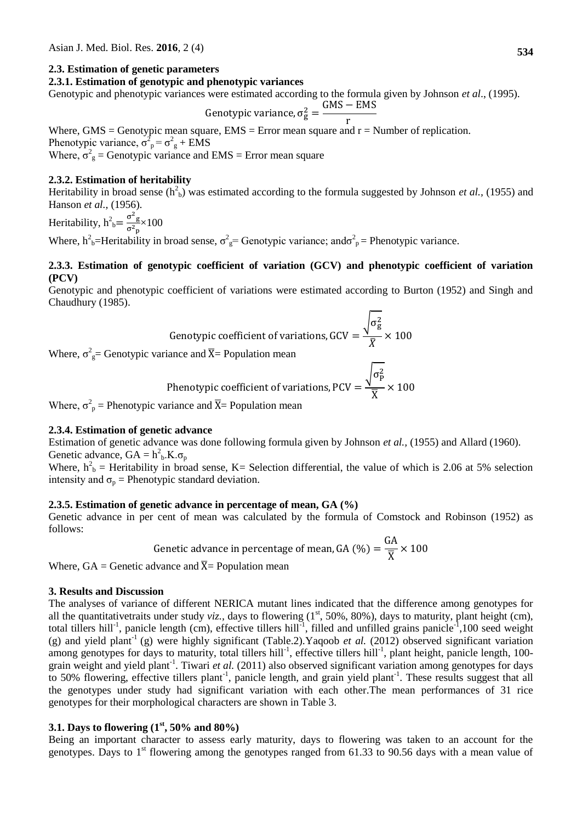# **2.3. Estimation of genetic parameters**

# **2.3.1. Estimation of genotypic and phenotypic variances**

Genotypic and phenotypic variances were estimated according to the formula given by Johnson *et al*., (1995).

Genotypic variance, 
$$
\sigma_g^2 = \frac{GMS - EMS}{r}
$$

Where, GMS = Genotypic mean square,  $EMS = Error$  mean square and  $r = Number$  of replication. Phenotypic variance,  $\sigma_{\text{p}}^2 = \sigma_{\text{g}}^2 + \text{EMS}$ Where,  $\sigma_g^2$  = Genotypic variance and EMS = Error mean square

#### **2.3.2. Estimation of heritability**

Heritability in broad sense  $(h<sup>2</sup><sub>b</sub>)$  was estimated according to the formula suggested by Johnson *et al.*, (1955) and Hanson *et al.,* (1956).

Heritability,  $h_b^2 = \frac{\sigma^2 g}{\sigma^2}$  $\frac{\sigma_{\rm g}}{\sigma_{\rm p}^2} \times 100$ 

Where,  $h^2_{\ b}$ =Heritability in broad sense,  $\sigma^2_{\ g}$ = Genotypic variance; and $\sigma^2_{\ p}$ = Phenotypic variance.

# **2.3.3. Estimation of genotypic coefficient of variation (GCV) and phenotypic coefficient of variation (PCV)**

Genotypic and phenotypic coefficient of variations were estimated according to Burton (1952) and Singh and Chaudhury (1985).

 $\Gamma$ 

Genotypic coefficient of variations, GCV = 
$$
\frac{\sqrt{\sigma_g^2}}{\bar{X}} \times 100
$$

Where,  $\sigma_{\rm g}^2$  Genotypic variance and  $\overline{X}$  = Population mean

Phenotypic coefficient of variations, PCV = 
$$
\frac{\sqrt{\sigma_P^2}}{\overline{X}} \times 100
$$

Where,  $\sigma_p^2$  = Phenotypic variance and  $\overline{X}$  = Population mean

#### **2.3.4. Estimation of genetic advance**

Estimation of genetic advance was done following formula given by Johnson *et al.,* (1955) and Allard (1960). Genetic advance,  $GA = h_b^2$ .K. $\sigma_p$ 

Where,  $h_b^2$  = Heritability in broad sense, K= Selection differential, the value of which is 2.06 at 5% selection intensity and  $\sigma_p$  = Phenotypic standard deviation.

# **2.3.5. Estimation of genetic advance in percentage of mean, GA (%)**

Genetic advance in per cent of mean was calculated by the formula of Comstock and Robinson (1952) as follows:  $\sim$ 

Genetic advance in percentage of mean, GA (
$$
\frac{\omega_0}{\overline{X}} \times 100
$$
)

Where,  $GA =$  Genetic advance and  $\overline{X}$ = Population mean

#### **3. Results and Discussion**

The analyses of variance of different NERICA mutant lines indicated that the difference among genotypes for all the quantitativetraits under study *viz.*, days to flowering  $(1<sup>st</sup>, 50%, 80%)$ , days to maturity, plant height (cm), total tillers hill<sup>-1</sup>, panicle length (cm), effective tillers hill<sup>-1</sup>, filled and unfilled grains panicle<sup>-1</sup>,100 seed weight (g) and yield plant<sup>-1</sup> (g) were highly significant (Table.2). Yaqoob *et al.* (2012) observed significant variation among genotypes for days to maturity, total tillers hill<sup>-1</sup>, effective tillers hill<sup>-1</sup>, plant height, panicle length, 100grain weight and yield plant<sup>-1</sup>. Tiwari *et al.* (2011) also observed significant variation among genotypes for days to 50% flowering, effective tillers plant<sup>-1</sup>, panicle length, and grain yield plant<sup>-1</sup>. These results suggest that all the genotypes under study had significant variation with each other.The mean performances of 31 rice genotypes for their morphological characters are shown in Table 3.

# **3.1. Days to flowering (1st, 50% and 80%)**

Being an important character to assess early maturity, days to flowering was taken to an account for the genotypes. Days to  $1<sup>st</sup>$  flowering among the genotypes ranged from 61.33 to 90.56 days with a mean value of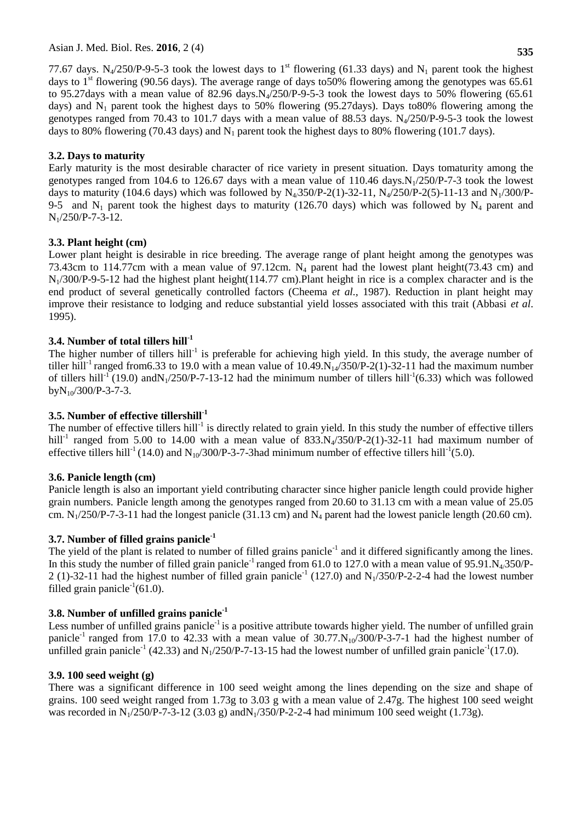**535**

77.67 days. N<sub>4</sub>/250/P-9-5-3 took the lowest days to 1<sup>st</sup> flowering (61.33 days) and N<sub>1</sub> parent took the highest days to  $1<sup>st</sup>$  flowering (90.56 days). The average range of days to 50% flowering among the genotypes was 65.61 to 95.27days with a mean value of 82.96 days. $N_4/250/P$ -9-5-3 took the lowest days to 50% flowering (65.61) days) and  $N_1$  parent took the highest days to 50% flowering (95.27days). Days to 80% flowering among the genotypes ranged from 70.43 to 101.7 days with a mean value of 88.53 days.  $N_4/250/P-9-5-3$  took the lowest days to 80% flowering (70.43 days) and  $N_1$  parent took the highest days to 80% flowering (101.7 days).

# **3.2. Days to maturity**

Early maturity is the most desirable character of rice variety in present situation. Days tomaturity among the genotypes ranged from 104.6 to 126.67 days with a mean value of 110.46 days. $N_1/250/P-7-3$  took the lowest days to maturity (104.6 days) which was followed by  $N_4/350/P-2(1)-32-11$ ,  $N_4/250/P-2(5)-11-13$  and  $N_1/300/P-1$ 9-5 and N<sub>1</sub> parent took the highest days to maturity (126.70 days) which was followed by N<sub>4</sub> parent and  $N_1/250/P$ -7-3-12.

# **3.3. Plant height (cm)**

Lower plant height is desirable in rice breeding. The average range of plant height among the genotypes was 73.43cm to 114.77cm with a mean value of 97.12cm. N<sub>4</sub> parent had the lowest plant height(73.43 cm) and N1/300/P-9-5-12 had the highest plant height(114.77 cm).Plant height in rice is a complex character and is the end product of several genetically controlled factors (Cheema *et al.,* 1987). Reduction in plant height may improve their resistance to lodging and reduce substantial yield losses associated with this trait (Abbasi *et al*. 1995).

# **3.4. Number of total tillers hill-1**

The higher number of tillers hill<sup>-1</sup> is preferable for achieving high yield. In this study, the average number of tiller hill<sup>-1</sup> ranged from6.33 to 19.0 with a mean value of  $10.49 \text{ N}_1/350/P-2(1)-32-11$  had the maximum number of tillers hill<sup>-1</sup> (19.0) and N<sub>1</sub>/250/P-7-13-12 had the minimum number of tillers hill<sup>-1</sup>(6.33) which was followed  $bvN_{10}/300/P$ -3-7-3.

# **3.5. Number of effective tillershill-1**

The number of effective tillers hill<sup>-1</sup> is directly related to grain yield. In this study the number of effective tillers hill<sup>-1</sup> ranged from 5.00 to 14.00 with a mean value of  $833.N<sub>4</sub>/350/P-2(1)-32-11$  had maximum number of effective tillers hill<sup>-1</sup> (14.0) and N<sub>10</sub>/300/P-3-7-3had minimum number of effective tillers hill<sup>-1</sup>(5.0).

# **3.6. Panicle length (cm)**

Panicle length is also an important yield contributing character since higher panicle length could provide higher grain numbers. Panicle length among the genotypes ranged from 20.60 to 31.13 cm with a mean value of 25.05 cm.  $N_1/250/P-7-3-11$  had the longest panicle (31.13 cm) and  $N_4$  parent had the lowest panicle length (20.60 cm).

# **3.7. Number of filled grains panicle-1**

The yield of the plant is related to number of filled grains panicle<sup>-1</sup> and it differed significantly among the lines. In this study the number of filled grain panicle<sup>-1</sup> ranged from 61.0 to 127.0 with a mean value of 95.91. $N<sub>4</sub>/350/P$ -2 (1)-32-11 had the highest number of filled grain panicle<sup>-1</sup> (127.0) and N<sub>1</sub>/350/P-2-2-4 had the lowest number filled grain panicle<sup>-1</sup>(61.0).

# **3.8. Number of unfilled grains panicle-1**

Less number of unfilled grains panicle<sup>-1</sup> is a positive attribute towards higher yield. The number of unfilled grain panicle<sup>-1</sup> ranged from 17.0 to 42.33 with a mean value of  $30.77 \text{ N}_{10}/300/P$ -3-7-1 had the highest number of unfilled grain panicle<sup>-1</sup> (42.33) and N<sub>1</sub>/250/P-7-13-15 had the lowest number of unfilled grain panicle<sup>-1</sup>(17.0).

# **3.9. 100 seed weight (g)**

There was a significant difference in 100 seed weight among the lines depending on the size and shape of grains. 100 seed weight ranged from 1.73g to 3.03 g with a mean value of 2.47g. The highest 100 seed weight was recorded in  $N_1/250/P-7-3-12$  (3.03 g) and  $N_1/350/P-2-2-4$  had minimum 100 seed weight (1.73g).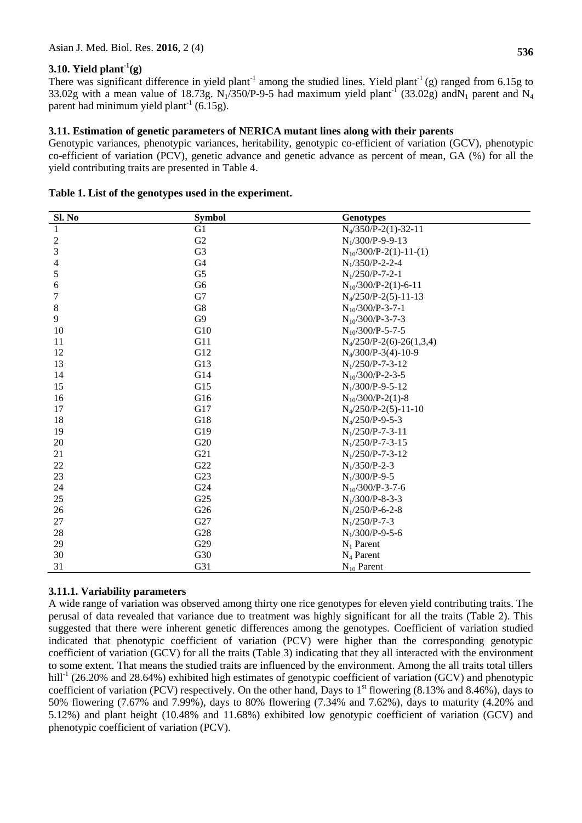# **3.10. Yield plant-1 (g)**

There was significant difference in yield plant<sup>-1</sup> among the studied lines. Yield plant<sup>-1</sup> (g) ranged from 6.15g to 33.02g with a mean value of 18.73g. N<sub>1</sub>/350/P-9-5 had maximum yield plant<sup>-1</sup> (33.02g) and N<sub>1</sub> parent and N<sub>4</sub> parent had minimum yield plant<sup>-1</sup> (6.15g).

# **3.11. Estimation of genetic parameters of NERICA mutant lines along with their parents**

Genotypic variances, phenotypic variances, heritability, genotypic co-efficient of variation (GCV), phenotypic co-efficient of variation (PCV), genetic advance and genetic advance as percent of mean, GA (%) for all the yield contributing traits are presented in Table 4.

| Sl. No         | <b>Symbol</b>  | <b>Genotypes</b>           |
|----------------|----------------|----------------------------|
| 1              | G <sub>1</sub> | $N_4/350/P-2(1)-32-11$     |
| $\sqrt{2}$     | G2             | $N_1/300/P-9-9-13$         |
| 3              | G <sub>3</sub> | $N_{10}/300/P-2(1)-11-(1)$ |
| $\overline{4}$ | G <sub>4</sub> | $N_1/350/P-2-2-4$          |
| $\sqrt{5}$     | G <sub>5</sub> | $N_1/250/P-7-2-1$          |
| 6              | G <sub>6</sub> | $N_{10}/300/P-2(1)-6-11$   |
| 7              | G7             | $N_4/250/P-2(5)-11-13$     |
| $\,8\,$        | G8             | $N_{10}/300/P$ -3-7-1      |
| 9              | G <sub>9</sub> | $N_{10}/300/P$ -3-7-3      |
| 10             | G10            | $N_{10}/300/P$ -5-7-5      |
| 11             | G11            | $N_4/250/P-2(6)-26(1,3,4)$ |
| 12             | G12            | $N_4/300/P-3(4)-10-9$      |
| 13             | G13            | $N_1/250/P$ -7-3-12        |
| 14             | G14            | $N_{10}/300/P$ -2-3-5      |
| 15             | G15            | $N_1/300/P-9-5-12$         |
| 16             | G16            | $N_{10}/300/P-2(1)-8$      |
| 17             | G17            | $N_4/250/P-2(5)-11-10$     |
| 18             | G18            | $N_4/250/P-9-5-3$          |
| 19             | G19            | $N_1/250/P$ -7-3-11        |
| 20             | G20            | $N_1/250/P$ -7-3-15        |
| 21             | G21            | $N_1/250/P$ -7-3-12        |
| 22             | G22            | $N_1/350/P-2-3$            |
| 23             | G23            | $N_1/300/P-9-5$            |
| 24             | G24            | $N_{10}/300/P$ -3-7-6      |
| 25             | G25            | $N_1/300/P-8-3-3$          |
| 26             | G26            | $N_1/250/P$ -6-2-8         |
| 27             | G27            | $N_1/250/P$ -7-3           |
| 28             | G28            | $N_1/300/P-9-5-6$          |
| 29             | G29            | $N_1$ Parent               |
| 30             | G30            | $N_4$ Parent               |
| 31             | G31            | $N_{10}$ Parent            |

# **Table 1. List of the genotypes used in the experiment.**

# **3.11.1. Variability parameters**

A wide range of variation was observed among thirty one rice genotypes for eleven yield contributing traits. The perusal of data revealed that variance due to treatment was highly significant for all the traits (Table 2). This suggested that there were inherent genetic differences among the genotypes. Coefficient of variation studied indicated that phenotypic coefficient of variation (PCV) were higher than the corresponding genotypic coefficient of variation (GCV) for all the traits (Table 3) indicating that they all interacted with the environment to some extent. That means the studied traits are influenced by the environment. Among the all traits total tillers hill<sup>-1</sup> (26.20% and 28.64%) exhibited high estimates of genotypic coefficient of variation (GCV) and phenotypic coefficient of variation (PCV) respectively. On the other hand, Days to  $1<sup>st</sup>$  flowering (8.13% and 8.46%), days to 50% flowering (7.67% and 7.99%), days to 80% flowering (7.34% and 7.62%), days to maturity (4.20% and 5.12%) and plant height (10.48% and 11.68%) exhibited low genotypic coefficient of variation (GCV) and phenotypic coefficient of variation (PCV).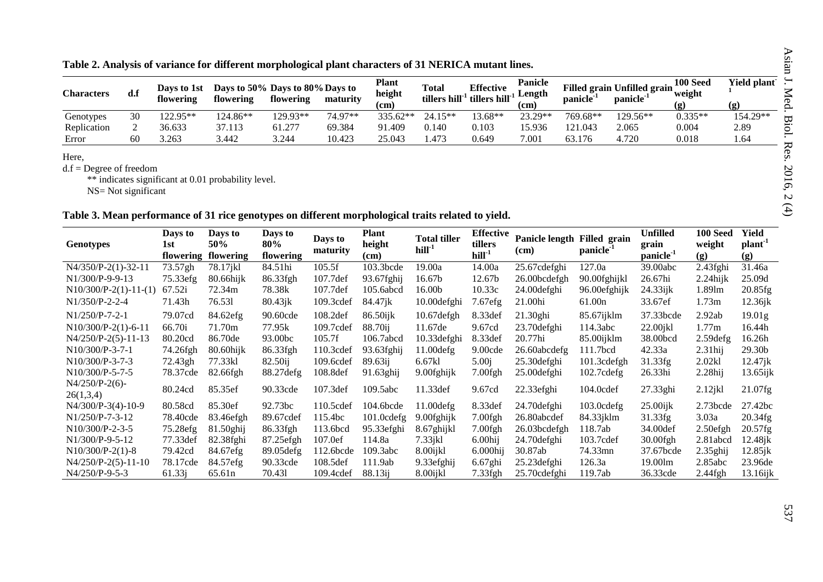|  |  |  |  |  |  |  |  | Table 2. Analysis of variance for different morphological plant characters of 31 NERICA mutant lines. |  |  |  |  |
|--|--|--|--|--|--|--|--|-------------------------------------------------------------------------------------------------------|--|--|--|--|
|  |  |  |  |  |  |  |  |                                                                                                       |  |  |  |  |

| <b>Characters</b> | d.f | Davs to 1st<br>flowering | flowering | Days to 50% Days to 80% Days to<br>flowering | maturity | <b>Plant</b><br>height<br>(cm | <b>Total</b><br>tillers hill <sup>-1</sup> | <b>Effective</b><br>tillers hill <sup>-1</sup> | <b>Panicle</b><br>Length<br>(cm | panicle <sup>-1</sup> | Filled grain Unfilled grain<br>panicle <sup>-1</sup> | 100 Seed<br>weight<br>(g) | Yield plant<br>(g) |
|-------------------|-----|--------------------------|-----------|----------------------------------------------|----------|-------------------------------|--------------------------------------------|------------------------------------------------|---------------------------------|-----------------------|------------------------------------------------------|---------------------------|--------------------|
| Genotypes         |     | .22.95**                 | 124.86**  | 129.93**                                     | 74.97**  | 335.62**                      | $15**$<br>24.                              | 13.68**                                        | 23.29**                         | 769.68**              | 129.56**                                             | $0.335**$                 | 154.29**           |
| Replication       |     | 36.633                   | 37.113    | 61.277                                       | 69.384   | 91.409                        | 0.140                                      | 0.103                                          | 15.936                          | 121.043               | 2.065                                                | 0.004                     | 2.89               |
| Error             | 60  | 3.263                    | 3.442     | 3.244                                        | 10.423   | 25.043                        | . 473                                      | 0.649                                          | 7.001                           | 63.176                | 4.720                                                | 0.018                     | 1.64               |

Here,

d.f = Degree of freedom<br>
\*\* indicates significant at 0.01 probability level.

 $NS = Not significant$ 

# Table 3. Mean performance of 31 rice genotypes on different morphological traits related to yield.

| <b>Genotypes</b>               | Days to<br>1st<br>flowering | Days to<br>50%<br>flowering | Days to<br>80%<br>flowering | Days to<br>maturity | Plant<br>height<br>(cm) | <b>Total tiller</b><br>$hill-1$ | <b>Effective</b><br>tillers<br>$hill-1$ | Panicle length Filled grain<br>(cm) | panicle <sup>1</sup> | <b>Unfilled</b><br>grain<br>panicle <sup>1</sup> | <b>100 Seed</b><br>weight<br>(g) | Yield<br>plant <sup>-</sup><br>(g) |
|--------------------------------|-----------------------------|-----------------------------|-----------------------------|---------------------|-------------------------|---------------------------------|-----------------------------------------|-------------------------------------|----------------------|--------------------------------------------------|----------------------------------|------------------------------------|
| $N4/350/P-2(1)-32-11$          | 73.57gh                     | 78.17jkl                    | 84.51hi                     | 105.5f              | $103.3$ bcde            | 19.00a                          | 14.00a                                  | 25.67cdefghi                        | 127.0a               | 39.00abc                                         | $2.43$ fghi                      | 31.46a                             |
| $N1/300/P-9-9-13$              | 75.33efg                    | $80.66$ hijk                | 86.33fgh                    | 107.7def            | 93.67fghij              | 16.67b                          | 12.67b                                  | 26.00bcdefgh                        | 90.00fghijkl         | 26.67hi                                          | $2.24$ hijk                      | 25.09d                             |
| $N10/300/P-2(1)-11-(1)$        | 67.52i                      | 72.34m                      | 78.38k                      | 107.7def            | 105.6abcd               | 16.00b                          | 10.33c                                  | 24.00 defghi                        | 96.00efghijk         | $24.33$ ijk                                      | 1.89lm                           | 20.85fg                            |
| $N1/350/P-2-2-4$               | 71.43h                      | 76.531                      | $80.43$ jk                  | 109.3cdef           | 84.47jk                 | 10.00defghi                     | 7.67efg                                 | 21.00hi                             | 61.00 <sub>n</sub>   | 33.67ef                                          | 1.73m                            | $12.36$ jk                         |
| $N1/250/P-7-2-1$               | 79.07cd                     | 84.62efg                    | 90.60cde                    | 108.2def            | 86.50ijk                | 10.67defgh                      | 8.33def                                 | 21.30ghi                            | 85.67ijklm           | 37.33bcde                                        | 2.92ab                           | 19.01g                             |
| $N10/300/P-2(1)-6-11$          | 66.70i                      | 71.70m                      | 77.95k                      | 109.7cdef           | 88.70ii                 | 11.67de                         | 9.67cd                                  | 23.70 defghi                        | 114.3abc             | $22.00$ jkl                                      | 1.77m                            | 16.44h                             |
| $N4/250/P-2(5)-11-13$          | 80.20cd                     | 86.70de                     | 93.00bc                     | 105.7f              | 106.7abcd               | 10.33defghi                     | 8.33def                                 | 20.77hi                             | 85.00ijklm           | 38.00bcd                                         | $2.59$ defg                      | 16.26h                             |
| N10/300/P-3-7-1                | 74.26fgh                    | 80.60hijk                   | 86.33fgh                    | 110.3cdef           | $93.63$ fghij           | 11.00 defg                      | 9.00cde                                 | 26.60abcdefg                        | 111.7bcd             | 42.33a                                           | $2.31$ hij                       | 29.30b                             |
| $N10/300/P-3-7-3$              | 72.43gh                     | 77.33kl                     | $82.50$ ij                  | 109.6cdef           | 89.63ii                 | 6.67kl                          | 5.00 <sub>i</sub>                       | 25.30 defghi                        | 101.3cdefgh          | 31.33fg                                          | 2.02kl                           | $12.47$ jk                         |
| $N10/300/P-5-7-5$              | 78.37cde                    | 82.66fgh                    | 88.27defg                   | 108.8def            | 91.63ghij               | 9.00fghijk                      | $7.00$ fgh                              | 25.00 defghi                        | 102.7cdefg           | 26.33hi                                          | $2.28$ hij                       | $13.65$ ijk                        |
| $N4/250/P-2(6)$ -<br>26(1,3,4) | 80.24cd                     | 85.35ef                     | 90.33cde                    | 107.3def            | 109.5abc                | 11.33 def                       | 9.67cd                                  | 22.33efghi                          | 104.0cdef            | 27.33ghi                                         | $2.12$ jkl                       | $21.07$ fg                         |
| $N4/300/P-3(4)-10-9$           | 80.58cd                     | 85.30ef                     | 92.73bc                     | 110.5cdef           | 104.6bcde               | $11.00$ defg                    | 8.33def                                 | 24.70 defghi                        | $103.0$ cdefg        | $25.00$ ijk                                      | $2.73$ bcde                      | 27.42bc                            |
| $N1/250/P-7-3-12$              | 78.40cde                    | 83.46efgh                   | 89.67cdef                   | 115.4bc             | 101.0cdefg              | 9.00fghijk                      | $7.00$ fgh                              | 26.80abcdef                         | 84.33jklm            | 31.33fg                                          | 3.03a                            | 20.34fg                            |
| $N10/300/P-2-3-5$              | 75.28efg                    | 81.50ghij                   | 86.33fgh                    | 113.6bcd            | 95.33efghi              | 8.67ghijkl                      | $7.00$ fgh                              | 26.03bcdefgh                        | 118.7ab              | 34.00def                                         | $2.50$ efgh                      | $20.57$ fg                         |
| $N1/300/P-9-5-12$              | 77.33def                    | 82.38fghi                   | 87.25efgh                   | 107.0ef             | 114.8a                  | $7.33$ jkl                      | $6.00$ hij                              | 24.70defghi                         | 103.7cdef            | $30.00$ fgh                                      | 2.81abcd                         | $12.48$ jk                         |
| $N10/300/P-2(1)-8$             | 79.42cd                     | 84.67efg                    | 89.05defg                   | 112.6bcde           | 109.3abc                | 8.00ijkl                        | $6.000$ hij                             | 30.87ab                             | 74.33mn              | 37.67bcde                                        | $2.35$ ghij                      | $12.85$ jk                         |
| $N4/250/P-2(5)-11-10$          | 78.17cde                    | 84.57efg                    | 90.33cde                    | 108.5def            | 111.9ab                 | 9.33efghij                      | $6.67$ ghi                              | $25.23$ defghi                      | 126.3a               | 19.00lm                                          | 2.85abc                          | 23.96de                            |
| $N4/250/P-9-5-3$               | 61.33j                      | 65.61 <sub>n</sub>          | 70.431                      | 109.4cdef           | 88.13ii                 | 8.00ijkl                        | 7.33fgh                                 | 25.70 cdefghi                       | 119.7ab              | 36.33cde                                         | $2.44$ fgh                       | $13.16$ ijk                        |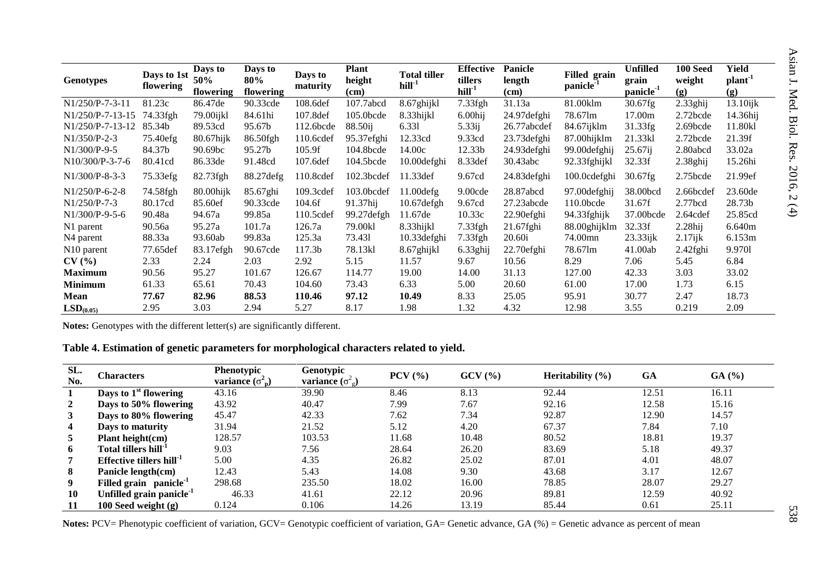| <b>Genotypes</b>       | Days to 1st<br>flowering | Days to<br>50%<br>flowering | Days to<br>80%<br>flowering | Days to<br>maturity | <b>Plant</b><br>height<br>(cm) | <b>Total tiller</b><br>$hill-1$ | <b>Effective</b><br>tillers<br>$hill-1$ | <b>Panicle</b><br>length<br>(cm) | Filled grain<br>panicle <sup>-1</sup> | <b>Unfilled</b><br>grain<br>panicle <sup>1</sup> | <b>100 Seed</b><br>weight<br>(g) | Yield<br>plant <sup>-1</sup><br>(g) |
|------------------------|--------------------------|-----------------------------|-----------------------------|---------------------|--------------------------------|---------------------------------|-----------------------------------------|----------------------------------|---------------------------------------|--------------------------------------------------|----------------------------------|-------------------------------------|
| $N1/250/P-7-3-11$      | 81.23c                   | 86.47de                     | 90.33cde                    | 108.6def            | 107.7abcd                      | 8.67ghijkl                      | 7.33fgh                                 | 31.13a                           | 81.00klm                              | 30.67fg                                          | $2.33$ ghij                      | $13.10$ ijk                         |
| $N1/250/P-7-13-15$     | 74.33fgh                 | 79.00ijkl                   | 84.61hi                     | 107.8def            | 105.0bcde                      | 8.33hijkl                       | $6.00$ hij                              | 24.97 defghi                     | 78.67lm                               | 17.00m                                           | $2.72$ bcde                      | 14.36hij                            |
| $N1/250/P-7-13-12$     | 85.34b                   | 89.53cd                     | 95.67b                      | 112.6bcde           | 88.50ij                        | 6.331                           | 5.33ij                                  | 26.77abcdef                      | 84.67ijklm                            | 31.33fg                                          | 2.69bcde                         | 11.80kl                             |
| $N1/350/P-2-3$         | 75.40efg                 | 80.67hijk                   | 86.50fgh                    | 110.6cdef           | 95.37efghi                     | 12.33cd                         | 9.33cd                                  | 23.73 defghi                     | 87.00hijklm                           | 21.33kl                                          | $2.72$ bcde                      | 21.39f                              |
| N1/300/P-9-5           | 84.37b                   | 90.69bc                     | 95.27b                      | 105.9f              | 104.8bcde                      | 14.00c                          | 12.33b                                  | 24.93 defghi                     | 99.00 defghij                         | $25.67$ ij                                       | 2.80abcd                         | 33.02a                              |
| $N10/300/P-3-7-6$      | 80.41cd                  | 86.33de                     | 91.48cd                     | 107.6def            | 104.5bcde                      | 10.00defghi                     | 8.33def                                 | 30.43abc                         | 92.33fghijkl                          | 32.33f                                           | 2.38ghij                         | 15.26hi                             |
| $N1/300/P-8-3-3$       | 75.33efg                 | 82.73fgh                    | 88.27 defg                  | 110.8cdef           | 102.3bcdef                     | 11.33def                        | 9.67cd                                  | 24.83defghi                      | 100.0cdefghi                          | 30.67fg                                          | $2.75$ bcde                      | 21.99ef                             |
| $N1/250/P-6-2-8$       | 74.58fgh                 | $80.00$ hijk                | 85.67ghi                    | 109.3cdef           | 103.0bcdef                     | $11.00$ defg                    | 9.00cde                                 | 28.87abcd                        | 97.00defghij                          | 38.00bcd                                         | 2.66bcdef                        | 23.60de                             |
| $N1/250/P-7-3$         | 80.17cd                  | 85.60ef                     | 90.33cde                    | 104.6f              | 91.37hij                       | $10.67$ defgh                   | 9.67cd                                  | 27.23abcde                       | $110.0$ bcde                          | 31.67f                                           | $2.77$ bcd                       | 28.73b                              |
| $N1/300/P-9-5-6$       | 90.48a                   | 94.67a                      | 99.85a                      | 110.5cdef           | 99.27defgh                     | 11.67de                         | 10.33c                                  | 22.90efghi                       | 94.33fghijk                           | 37.00bcde                                        | 2.64cdef                         | 25.85cd                             |
| N1 parent              | 90.56a                   | 95.27a                      | 101.7a                      | 126.7a              | 79.00kl                        | 8.33hijkl                       | $7.33$ fgh                              | $21.67$ fghi                     | 88.00ghijklm                          | 32.33f                                           | $2.28$ hij                       | 6.640m                              |
| N <sub>4</sub> parent  | 88.33a                   | 93.60ab                     | 99.83a                      | 125.3a              | 73.431                         | 10.33 defghi                    | $7.33$ fgh                              | 20.60i                           | 74.00mn                               | $23.33$ ijk                                      | $2.17$ ijk                       | 6.153m                              |
| N <sub>10</sub> parent | 77.65def                 | 83.17efgh                   | 90.67cde                    | 117.3b              | 78.13kl                        | 8.67ghijkl                      | 6.33ghij                                | 22.70efghi                       | 78.67lm                               | 41.00ab                                          | $2.42$ fghi                      | 9.9701                              |
| CV(%)                  | 2.33                     | 2.24                        | 2.03                        | 2.92                | 5.15                           | 11.57                           | 9.67                                    | 10.56                            | 8.29                                  | 7.06                                             | 5.45                             | 6.84                                |
| <b>Maximum</b>         | 90.56                    | 95.27                       | 101.67                      | 126.67              | 114.77                         | 19.00                           | 14.00                                   | 31.13                            | 127.00                                | 42.33                                            | 3.03                             | 33.02                               |
| <b>Minimum</b>         | 61.33                    | 65.61                       | 70.43                       | 104.60              | 73.43                          | 6.33                            | 5.00                                    | 20.60                            | 61.00                                 | 17.00                                            | 1.73                             | 6.15                                |
| <b>Mean</b>            | 77.67                    | 82.96                       | 88.53                       | 110.46              | 97.12                          | 10.49                           | 8.33                                    | 25.05                            | 95.91                                 | 30.77                                            | 2.47                             | 18.73                               |
| LSD <sub>(0.05)</sub>  | 2.95                     | 3.03                        | 2.94                        | 5.27                | 8.17                           | 1.98                            | 1.32                                    | 4.32                             | 12.98                                 | 3.55                                             | 0.219                            | 2.09                                |

Notes: Genotypes with the different letter(s) are significantly different.

# Table 4. Estimation of genetic parameters for morphological characters related to yield.

| SL.<br>No.     | Characters                           | <b>Phenotypic</b><br>variance $(\sigma_n)$ | Genotypic<br><b>variance</b> $(\sigma^2$ <sub>g</sub> ) | $PCV$ $(\frac{9}{6})$ | GCV(%) | Heritability $(\% )$ | <b>GA</b> | GA(%) |
|----------------|--------------------------------------|--------------------------------------------|---------------------------------------------------------|-----------------------|--------|----------------------|-----------|-------|
| 1              | Days to 1 <sup>st</sup> flowering    | 43.16                                      | 39.90                                                   | 8.46                  | 8.13   | 92.44                | 12.51     | 16.11 |
| $\overline{2}$ | Days to 50% flowering                | 43.92                                      | 40.47                                                   | 7.99                  | 7.67   | 92.16                | 12.58     | 15.16 |
| $\mathbf{3}$   | Days to 80% flowering                | 45.47                                      | 42.33                                                   | 7.62                  | 7.34   | 92.87                | 12.90     | 14.57 |
| 4              | Days to maturity                     | 31.94                                      | 21.52                                                   | 5.12                  | 4.20   | 67.37                | 7.84      | 7.10  |
| 5              | Plant height(cm)                     | 128.57                                     | 103.53                                                  | 11.68                 | 10.48  | 80.52                | 18.81     | 19.37 |
| 6              | Total tillers hill <sup>-1</sup>     | 9.03                                       | 7.56                                                    | 28.64                 | 26.20  | 83.69                | 5.18      | 49.37 |
| 7              | Effective tillers $hill-1$           | 5.00                                       | 4.35                                                    | 26.82                 | 25.02  | 87.01                | 4.01      | 48.07 |
| 8              | Panicle length(cm)                   | 12.43                                      | 5.43                                                    | 14.08                 | 9.30   | 43.68                | 3.17      | 12.67 |
| 9              | Filled grain panicle <sup>1</sup>    | 298.68                                     | 235.50                                                  | 18.02                 | 16.00  | 78.85                | 28.07     | 29.27 |
| 10             | Unfilled grain panicle <sup>-1</sup> | 46.33                                      | 41.61                                                   | 22.12                 | 20.96  | 89.81                | 12.59     | 40.92 |
| -11            | 100 Seed weight $(g)$                | 0.124                                      | 0.106                                                   | 14.26                 | 13.19  | 85.44                | 0.61      | 25.11 |

Notes: PCV= Phenotypic coefficient of variation, GCV= Genotypic coefficient of variation, GA= Genetic advance, GA (%) = Genetic advance as percent of mean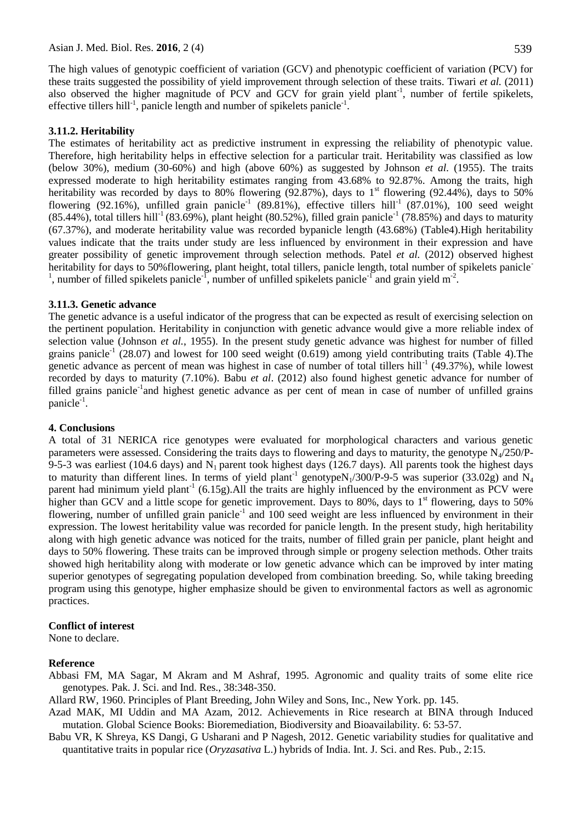effective tillers hill<sup>-1</sup>, panicle length and number of spikelets panicle<sup>-1</sup>.

The high values of genotypic coefficient of variation (GCV) and phenotypic coefficient of variation (PCV) for these traits suggested the possibility of yield improvement through selection of these traits. Tiwari *et al.* (2011) also observed the higher magnitude of PCV and GCV for grain yield plant<sup>-1</sup>, number of fertile spikelets,

#### **3.11.2. Heritability**

The estimates of heritability act as predictive instrument in expressing the reliability of phenotypic value. Therefore, high heritability helps in effective selection for a particular trait. Heritability was classified as low (below 30%), medium (30-60%) and high (above 60%) as suggested by Johnson *et al.* (1955). The traits expressed moderate to high heritability estimates ranging from 43.68% to 92.87%. Among the traits, high heritability was recorded by days to 80% flowering (92.87%), days to  $1<sup>st</sup>$  flowering (92.44%), days to 50% flowering (92.16%), unfilled grain panicle<sup>-1</sup> (89.81%), effective tillers hill<sup>-1</sup> (87.01%), 100 seed weight  $(85.44\%)$ , total tillers hill<sup>-1</sup> (83.69%), plant height (80.52%), filled grain panicle<sup>-1</sup> (78.85%) and days to maturity (67.37%), and moderate heritability value was recorded bypanicle length (43.68%) (Table4).High heritability values indicate that the traits under study are less influenced by environment in their expression and have greater possibility of genetic improvement through selection methods. Patel *et al.* (2012) observed highest heritability for days to 50%flowering, plant height, total tillers, panicle length, total number of spikelets panicle<sup>-</sup> <sup>1</sup>, number of filled spikelets panicle<sup>-1</sup>, number of unfilled spikelets panicle<sup>-1</sup> and grain yield m<sup>-2</sup>.

#### **3.11.3. Genetic advance**

The genetic advance is a useful indicator of the progress that can be expected as result of exercising selection on the pertinent population. Heritability in conjunction with genetic advance would give a more reliable index of selection value (Johnson *et al.*, 1955). In the present study genetic advance was highest for number of filled grains panicle<sup>-1</sup> (28.07) and lowest for 100 seed weight (0.619) among yield contributing traits (Table 4). The genetic advance as percent of mean was highest in case of number of total tillers hill<sup>-1</sup> (49.37%), while lowest recorded by days to maturity (7.10%). Babu *et al*. (2012) also found highest genetic advance for number of filled grains panicle<sup>-1</sup>and highest genetic advance as per cent of mean in case of number of unfilled grains panicle<sup>-1</sup>.

#### **4. Conclusions**

A total of 31 NERICA rice genotypes were evaluated for morphological characters and various genetic parameters were assessed. Considering the traits days to flowering and days to maturity, the genotype  $N_4/250/P$ -9-5-3 was earliest (104.6 days) and  $N_1$  parent took highest days (126.7 days). All parents took the highest days to maturity than different lines. In terms of yield plant<sup>-1</sup> genotypeN<sub>1</sub>/300/P-9-5 was superior (33.02g) and N<sub>4</sub> parent had minimum yield plant<sup>-1</sup> (6.15g). All the traits are highly influenced by the environment as PCV were higher than GCV and a little scope for genetic improvement. Days to 80%, days to 1<sup>st</sup> flowering, days to 50% flowering, number of unfilled grain panicle<sup>-1</sup> and 100 seed weight are less influenced by environment in their expression. The lowest heritability value was recorded for panicle length. In the present study, high heritability along with high genetic advance was noticed for the traits, number of filled grain per panicle, plant height and days to 50% flowering. These traits can be improved through simple or progeny selection methods. Other traits showed high heritability along with moderate or low genetic advance which can be improved by inter mating superior genotypes of segregating population developed from combination breeding. So, while taking breeding program using this genotype, higher emphasize should be given to environmental factors as well as agronomic practices.

#### **Conflict of interest**

None to declare.

#### **Reference**

- Abbasi FM, MA Sagar, M Akram and M Ashraf, 1995. Agronomic and quality traits of some elite rice genotypes. Pak. J. Sci. and Ind. Res., 38:348-350.
- Allard RW, 1960. Principles of Plant Breeding, John Wiley and Sons, Inc., New York. pp. 145.
- Azad MAK, MI Uddin and MA Azam, 2012. Achievements in Rice research at BINA through Induced mutation. Global Science Books: Bioremediation, Biodiversity and Bioavailability*.* 6: 53-57.
- Babu VR, K Shreya, KS Dangi, G Usharani and P Nagesh, 2012. Genetic variability studies for qualitative and quantitative traits in popular rice (*Oryzasativa* L.) hybrids of India. Int. J. Sci. and Res. Pub., 2:15.